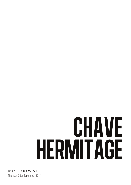# chave hermitage

Thursday 28th September 2011 **ROBERSON WINE**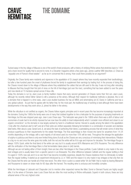### chave **HERMITAGE**

## the domaine

Tucked away in the tiny village of Mauves is one of the world's finest producers, with a history of vinifying Rhône wines that stretches back to 1481 and a track record for quality that is second to none. In a Decanter magazine article a few years ago, James Lawther MW describes JL Chave as "arguably one of France's finest estates" - as far as im concerned this is wrong. How could there possibly be an argument?

Originally, the Chave family were residents and vignerons in the appellation of St Joseph (where they have recently expanded their landholdings), but after a few hundred years the onset of phylloxera forced the family to supplement their earnings by trading fruit. In the process of doing this, the Chaves moved down to the village of Mauves where they established the cellars that are still used to this day. It was not long after relocating to Mauves that they bought their first plot of vines on the hill of Hermitage (just over the river), something that has been added to over the years and now stands at 15 hectares spread across 9 lieux-dits.

Today the domaine is run by Jean-Louis (a family tradition means that every second generation of Chaves name their first son Jean-Louis), although his recently retired father Gérard is still a presence at the winery. Although their respect for traditional methods is absolute, this is not a domaine that is trapped in a time warp. Jean-Louis studied business (he has an MBA) and winemaking (at UC Davis) in California and has a very global outlook - its just that he agrees with his father that, for the most part, the traditional way of working is best although there have been developments in the way they work since JL joined his father in the winery.

While the viticulture is not certified as organic, the Chaves follow organic principles and in recent years this has become increasingly important at the domaine. During the 1980s the family were one of many that clubbed together to hire a helicopter for the purposes of spraying treatments on Hermitage, but this was stopped years ago. Jean-Louis Chave says "The helicopter was great in the 1980s when there was a dirth of labour and economies of scale had to be strictly imposed but we now have the ability to treat independently which I consider more efficient and closer to our organic convictions", so the domaine is now largely worked by hand in a traditional manner. Harvest is usually among the latest in the appellation ("only after the chestnuts start to fall") and all of their plots are vinified separately following fermentation in a combination of wooden and stainless steel tanks. After about a year, Gerard and JL set about the task of perfecting their blend, a painstaking process that will render some of what they produce superfluous to their requirements for the estate Hermitage. The final assemblage is then moved into barrel for anywhere from 14-24 months depending on the vintage, with a vast majority of old wood used (no more than 10% will be new). Throughout the elevage the application of sulphur is judicious and there is only ever limited fining done (if at all) as the Chaves are very conscious of minimising their interventions. Filtration is a big no-no and once the wine goes into bottle, both the red and the white will be fit to age and improve for decades. The Hermitage Rouge is always 100% Syrah, while the final blend of the white can vary but it is usually around 80% Marsanne and 20% Rousanne. The only difference with the vinification of the Hermitage Blanc is that fermentation takes place in (old) barrels.

Although we are not tasting either of them tonight, there are two other Hermitages in the Chave portfolio. Cuvée Cathelin is only made in the very best vintages and is usually taken from a specific parcel in Les Bressards. The other difference between Cathelin and the regular bottling is that it is aged in 100% new oak and it is so rare that it has become incredibly expensive, despite the Chaves insistence that it is intrinsically no better than the regular bottling. It started as an experiment introduced by JL in 1990 and the reason it is only made in top vintages is that only then do the Chaves feel the wine can handle all of that new wood. The other micro-cuvée is a sweet white 'Vin de Paille' that is made by leaving Marsanne and Roussanne to raisen on straw mats for 60 days after the harvest. The resulting wine is unctuous and incredibly complex.

While the Hermitages of Jaboulet and Chapoutier (not to mention other respected names like Marc Sorrel or Bernard Faurie) are highly sought after, it is the wines of Domaine Jean-Louis Chave that are often the most exciting to Rhône enthusiasts. Superb in both colours, these are truly artisanal wines of the very highest order.